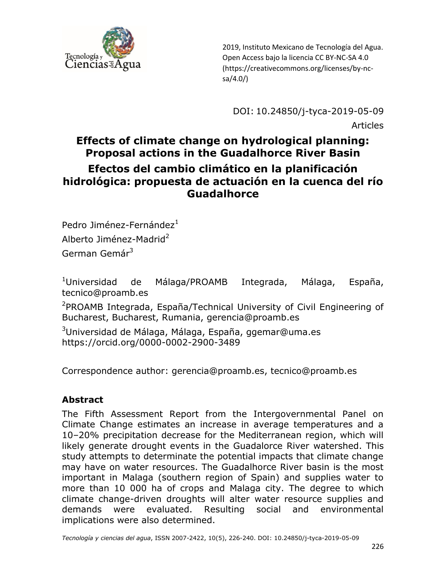

DOI: 10.24850/j-tyca-2019-05-09 Articles

## **Effects of climate change on hydrological planning: Proposal actions in the Guadalhorce River Basin Efectos del cambio climático en la planificación hidrológica: propuesta de actuación en la cuenca del río Guadalhorce**

Pedro Jiménez-Fernández $1$ Alberto Jiménez-Madrid<sup>2</sup> German Gemár<sup>3</sup>

<sup>1</sup>Universidad de Málaga/PROAMB Integrada, Málaga, España, tecnico@proamb.es

<sup>2</sup>PROAMB Integrada, España/Technical University of Civil Engineering of Bucharest, Bucharest, Rumania, [gerencia@proamb.es](mailto:gerencia@proamb.es)

<sup>3</sup>Universidad de Málaga, Málaga, España, ggemar@uma.es <https://orcid.org/0000-0002-2900-3489>

Correspondence author: [gerencia@proamb.es,](mailto:gerencia@proamb.es) tecnico@proamb.es

#### **Abstract**

The Fifth Assessment Report from the Intergovernmental Panel on Climate Change estimates an increase in average temperatures and a 10–20% precipitation decrease for the Mediterranean region, which will likely generate drought events in the Guadalorce River watershed. This study attempts to determinate the potential impacts that climate change may have on water resources. The Guadalhorce River basin is the most important in Malaga (southern region of Spain) and supplies water to more than 10 000 ha of crops and Malaga city. The degree to which climate change-driven droughts will alter water resource supplies and demands were evaluated. Resulting social and environmental implications were also determined.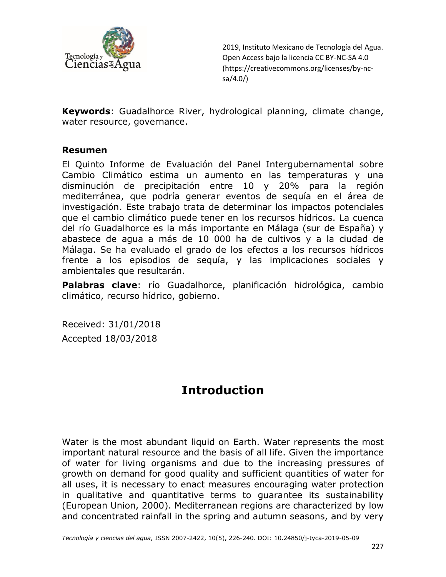

**Keywords**: Guadalhorce River, hydrological planning, climate change, water resource, governance.

#### **Resumen**

El Quinto Informe de Evaluación del Panel Intergubernamental sobre Cambio Climático estima un aumento en las temperaturas y una disminución de precipitación entre 10 y 20% para la región mediterránea, que podría generar eventos de sequía en el área de investigación. Este trabajo trata de determinar los impactos potenciales que el cambio climático puede tener en los recursos hídricos. La cuenca del río Guadalhorce es la más importante en Málaga (sur de España) y abastece de agua a más de 10 000 ha de cultivos y a la ciudad de Málaga. Se ha evaluado el grado de los efectos a los recursos hídricos frente a los episodios de sequía, y las implicaciones sociales y ambientales que resultarán.

**Palabras clave**: río Guadalhorce, planificación hidrológica, cambio climático, recurso hídrico, gobierno.

Received: 31/01/2018 Accepted 18/03/2018

## **Introduction**

Water is the most abundant liquid on Earth. Water represents the most important natural resource and the basis of all life. Given the importance of water for living organisms and due to the increasing pressures of growth on demand for good quality and sufficient quantities of water for all uses, it is necessary to enact measures encouraging water protection in qualitative and quantitative terms to guarantee its sustainability (European Union, 2000). Mediterranean regions are characterized by low and concentrated rainfall in the spring and autumn seasons, and by very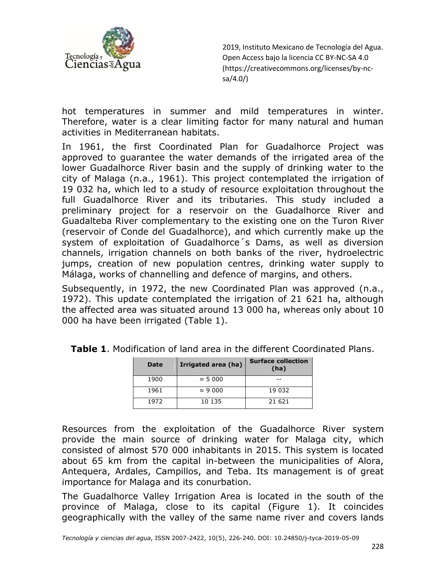

hot temperatures in summer and mild temperatures in winter. Therefore, water is a clear limiting factor for many natural and human activities in Mediterranean habitats.

In 1961, the first Coordinated Plan for Guadalhorce Project was approved to guarantee the water demands of the irrigated area of the lower Guadalhorce River basin and the supply of drinking water to the city of Malaga (n.a., 1961). This project contemplated the irrigation of 19 032 ha, which led to a study of resource exploitation throughout the full Guadalhorce River and its tributaries. This study included a preliminary project for a reservoir on the Guadalhorce River and Guadalteba River complementary to the existing one on the Turon River (reservoir of Conde del Guadalhorce), and which currently make up the system of exploitation of Guadalhorce´s Dams, as well as diversion channels, irrigation channels on both banks of the river, hydroelectric jumps, creation of new population centres, drinking water supply to Málaga, works of channelling and defence of margins, and others.

Subsequently, in 1972, the new Coordinated Plan was approved (n.a., 1972). This update contemplated the irrigation of 21 621 ha, although the affected area was situated around 13 000 ha, whereas only about 10 000 ha have been irrigated (Table 1).

| Date | Irrigated area (ha) | <b>Surface collection</b><br>(ha) |
|------|---------------------|-----------------------------------|
| 1900 | $\approx$ 5 000     |                                   |
| 1961 | $\approx$ 9 000     | 19 032                            |
| 1972 | 10 135              | 21 621                            |

**Table 1**. Modification of land area in the different Coordinated Plans.

Resources from the exploitation of the Guadalhorce River system provide the main source of drinking water for Malaga city, which consisted of almost 570 000 inhabitants in 2015. This system is located about 65 km from the capital in-between the municipalities of Alora, Antequera, Ardales, Campillos, and Teba. Its management is of great importance for Malaga and its conurbation.

The Guadalhorce Valley Irrigation Area is located in the south of the province of Malaga, close to its capital (Figure 1). It coincides geographically with the valley of the same name river and covers lands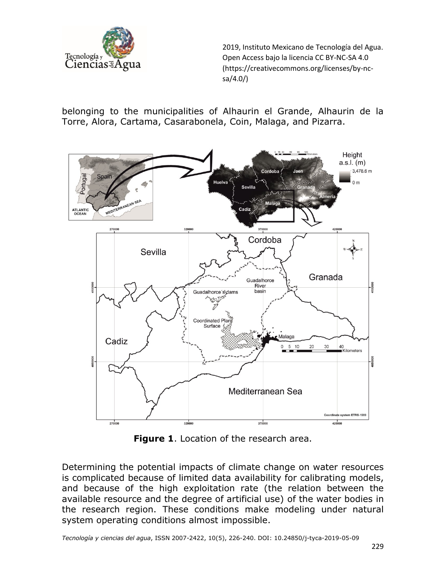

belonging to the municipalities of Alhaurin el Grande, Alhaurin de la Torre, Alora, Cartama, Casarabonela, Coin, Malaga, and Pizarra.



**Figure 1**. Location of the research area.

Determining the potential impacts of climate change on water resources is complicated because of limited data availability for calibrating models, and because of the high exploitation rate (the relation between the available resource and the degree of artificial use) of the water bodies in the research region. These conditions make modeling under natural system operating conditions almost impossible.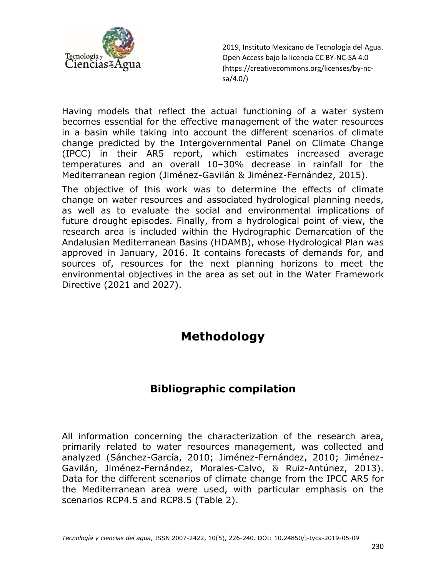

Having models that reflect the actual functioning of a water system becomes essential for the effective management of the water resources in a basin while taking into account the different scenarios of climate change predicted by the Intergovernmental Panel on Climate Change (IPCC) in their AR5 report, which estimates increased average temperatures and an overall 10–30% decrease in rainfall for the Mediterranean region (Jiménez-Gavilán & Jiménez-Fernández, 2015).

The objective of this work was to determine the effects of climate change on water resources and associated hydrological planning needs, as well as to evaluate the social and environmental implications of future drought episodes. Finally, from a hydrological point of view, the research area is included within the Hydrographic Demarcation of the Andalusian Mediterranean Basins (HDAMB), whose Hydrological Plan was approved in January, 2016. It contains forecasts of demands for, and sources of, resources for the next planning horizons to meet the environmental objectives in the area as set out in the Water Framework Directive (2021 and 2027).

## **Methodology**

#### **Bibliographic compilation**

All information concerning the characterization of the research area, primarily related to water resources management, was collected and analyzed (Sánchez-García, 2010; Jiménez-Fernández, 2010; Jiménez-Gavilán, Jiménez-Fernández, Morales-Calvo, & Ruiz-Antúnez, 2013). Data for the different scenarios of climate change from the IPCC AR5 for the Mediterranean area were used, with particular emphasis on the scenarios RCP4.5 and RCP8.5 (Table 2).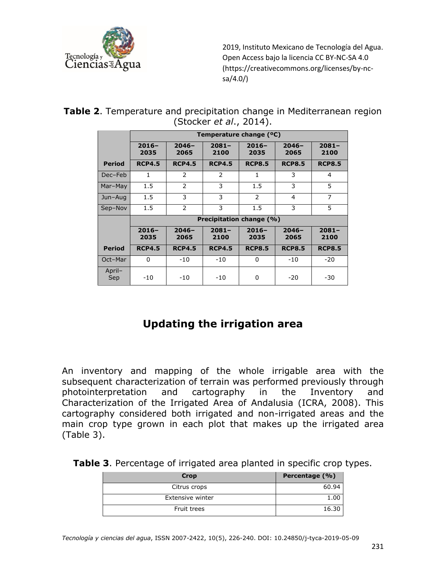

|  | <b>Table 2.</b> Temperature and precipitation change in Mediterranean region |  |  |
|--|------------------------------------------------------------------------------|--|--|
|  | (Stocker <i>et al.</i> , 2014).                                              |  |  |

|               | Temperature change (°C) |                  |                  |                          |                  |                  |  |  |
|---------------|-------------------------|------------------|------------------|--------------------------|------------------|------------------|--|--|
|               | $2016-$<br>2035         | $2046 -$<br>2065 | $2081 -$<br>2100 | $2016 -$<br>2035         | $2046 -$<br>2065 | $2081 -$<br>2100 |  |  |
| <b>Period</b> | <b>RCP4.5</b>           | <b>RCP4.5</b>    | <b>RCP4.5</b>    | <b>RCP8.5</b>            | <b>RCP8.5</b>    | <b>RCP8.5</b>    |  |  |
| Dec-Feb       | 1                       | 2                | 2                | 1                        | 3                | 4                |  |  |
| Mar-May       | 1.5                     | 2                | 3                | 1.5                      | 3                | 5                |  |  |
| Jun-Aug       | 1.5                     | 3                | 3                | $\overline{2}$           | 4                | $\overline{7}$   |  |  |
| Sep-Nov       | 1.5                     | 2                | 3                | 1.5                      | 3                | 5                |  |  |
|               |                         |                  |                  | Precipitation change (%) |                  |                  |  |  |
|               | $2016-$<br>2035         | $2046 -$<br>2065 | $2081 -$<br>2100 | $2016 -$<br>2035         | $2046 -$<br>2065 | $2081 -$<br>2100 |  |  |
| <b>Period</b> | <b>RCP4.5</b>           | <b>RCP4.5</b>    | <b>RCP4.5</b>    | <b>RCP8.5</b>            | <b>RCP8.5</b>    | <b>RCP8.5</b>    |  |  |
| Oct-Mar       | 0                       | $-10$            | $-10$            | 0                        | $-10$            | $-20$            |  |  |
| April-<br>Sep | $-10$                   | $-10$            | $-10$            | 0                        | $-20$            | $-30$            |  |  |

## **Updating the irrigation area**

An inventory and mapping of the whole irrigable area with the subsequent characterization of terrain was performed previously through photointerpretation and cartography in the Inventory and Characterization of the Irrigated Area of Andalusia (ICRA, 2008). This cartography considered both irrigated and non-irrigated areas and the main crop type grown in each plot that makes up the irrigated area (Table 3).

| Table 3. Percentage of irrigated area planted in specific crop types. |  |  |  |
|-----------------------------------------------------------------------|--|--|--|
|                                                                       |  |  |  |

| Crop               | Percentage (%) |
|--------------------|----------------|
| Citrus crops       | 60.94          |
| Extensive winter   |                |
| <b>Fruit trees</b> | 16.30          |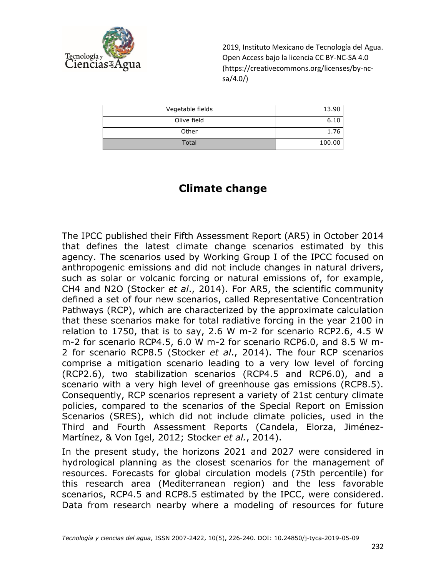

| Vegetable fields | 13.90  |
|------------------|--------|
| Olive field      | 6.10   |
| Other            | 1.76   |
| Total            | 100.00 |

#### **Climate change**

The IPCC published their Fifth Assessment Report (AR5) in October 2014 that defines the latest climate change scenarios estimated by this agency. The scenarios used by Working Group I of the IPCC focused on anthropogenic emissions and did not include changes in natural drivers, such as solar or volcanic forcing or natural emissions of, for example, CH4 and N2O (Stocker *et al*., 2014). For AR5, the scientific community defined a set of four new scenarios, called Representative Concentration Pathways (RCP), which are characterized by the approximate calculation that these scenarios make for total radiative forcing in the year 2100 in relation to 1750, that is to say, 2.6 W m-2 for scenario RCP2.6, 4.5 W m-2 for scenario RCP4.5, 6.0 W m-2 for scenario RCP6.0, and 8.5 W m-2 for scenario RCP8.5 (Stocker *et al*., 2014). The four RCP scenarios comprise a mitigation scenario leading to a very low level of forcing (RCP2.6), two stabilization scenarios (RCP4.5 and RCP6.0), and a scenario with a very high level of greenhouse gas emissions (RCP8.5). Consequently, RCP scenarios represent a variety of 21st century climate policies, compared to the scenarios of the Special Report on Emission Scenarios (SRES), which did not include climate policies, used in the Third and Fourth Assessment Reports (Candela, Elorza, Jiménez-Martínez, & Von Igel, 2012; Stocker *et al.*, 2014).

In the present study, the horizons 2021 and 2027 were considered in hydrological planning as the closest scenarios for the management of resources. Forecasts for global circulation models (75th percentile) for this research area (Mediterranean region) and the less favorable scenarios, RCP4.5 and RCP8.5 estimated by the IPCC, were considered. Data from research nearby where a modeling of resources for future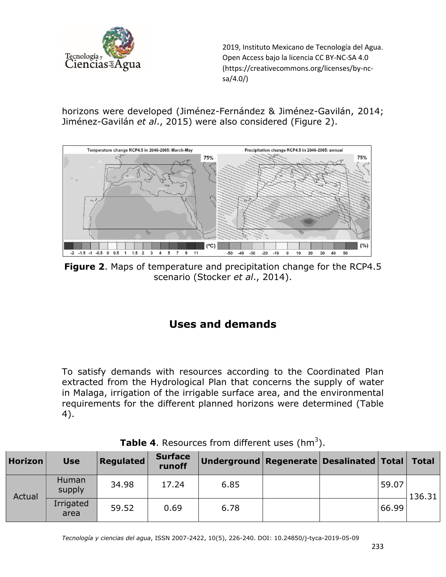

horizons were developed (Jiménez-Fernández & Jiménez-Gavilán, 2014; Jiménez-Gavilán *et al*., 2015) were also considered (Figure 2).



**Figure 2**. Maps of temperature and precipitation change for the RCP4.5 scenario (Stocker *et al*., 2014).

## **Uses and demands**

To satisfy demands with resources according to the Coordinated Plan extracted from the Hydrological Plan that concerns the supply of water in Malaga, irrigation of the irrigable surface area, and the environmental requirements for the different planned horizons were determined (Table 4).

| <b>Horizon</b> | <b>Use</b>        | <b>Regulated</b> | <b>Surface</b><br>runoff | Underground   Regenerate   Desalinated   Total |  |       | <b>Total</b> |
|----------------|-------------------|------------------|--------------------------|------------------------------------------------|--|-------|--------------|
|                | Human<br>supply   | 34.98            | 17.24                    | 6.85                                           |  | 59.07 | 136.31       |
| Actual         | Irrigated<br>area | 59.52            | 0.69                     | 6.78                                           |  | 66.99 |              |

|  | <b>Table 4.</b> Resources from different uses (hm <sup>3</sup> ). |  |  |  |  |  |
|--|-------------------------------------------------------------------|--|--|--|--|--|
|--|-------------------------------------------------------------------|--|--|--|--|--|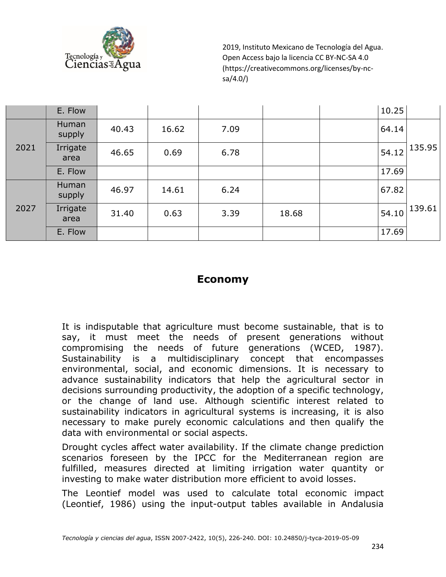

|      | E. Flow          |       |       |      |       | 10.25 |        |
|------|------------------|-------|-------|------|-------|-------|--------|
| 2021 | Human<br>supply  | 40.43 | 16.62 | 7.09 |       | 64.14 |        |
|      | Irrigate<br>area | 46.65 | 0.69  | 6.78 |       | 54.12 | 135.95 |
|      | E. Flow          |       |       |      |       | 17.69 |        |
| 2027 | Human<br>supply  | 46.97 | 14.61 | 6.24 |       | 67.82 |        |
|      | Irrigate<br>area | 31.40 | 0.63  | 3.39 | 18.68 | 54.10 | 139.61 |
|      | E. Flow          |       |       |      |       | 17.69 |        |

#### **Economy**

It is indisputable that agriculture must become sustainable, that is to say, it must meet the needs of present generations without compromising the needs of future generations (WCED, 1987). Sustainability is a multidisciplinary concept that encompasses environmental, social, and economic dimensions. It is necessary to advance sustainability indicators that help the agricultural sector in decisions surrounding productivity, the adoption of a specific technology, or the change of land use. Although scientific interest related to sustainability indicators in agricultural systems is increasing, it is also necessary to make purely economic calculations and then qualify the data with environmental or social aspects.

Drought cycles affect water availability. If the climate change prediction scenarios foreseen by the IPCC for the Mediterranean region are fulfilled, measures directed at limiting irrigation water quantity or investing to make water distribution more efficient to avoid losses.

The Leontief model was used to calculate total economic impact (Leontief, 1986) using the input-output tables available in Andalusia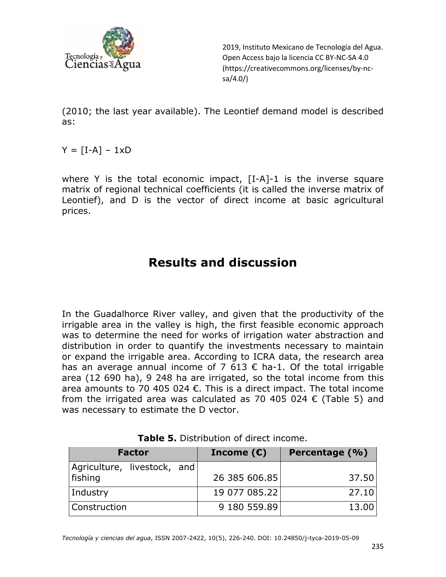

(2010; the last year available). The Leontief demand model is described as:

 $Y = [I-A] - 1xD$ 

where Y is the total economic impact, [I-A]-1 is the inverse square matrix of regional technical coefficients (it is called the inverse matrix of Leontief), and D is the vector of direct income at basic agricultural prices.

# **Results and discussion**

In the Guadalhorce River valley, and given that the productivity of the irrigable area in the valley is high, the first feasible economic approach was to determine the need for works of irrigation water abstraction and distribution in order to quantify the investments necessary to maintain or expand the irrigable area. According to ICRA data, the research area has an average annual income of 7 613  $\epsilon$  ha-1. Of the total irrigable area (12 690 ha), 9 248 ha are irrigated, so the total income from this area amounts to 70 405 024  $\epsilon$ . This is a direct impact. The total income from the irrigated area was calculated as 70 405 024  $\epsilon$  (Table 5) and was necessary to estimate the D vector.

| <b>Factor</b>                          | Income $(\epsilon)$ | Percentage (%) |
|----------------------------------------|---------------------|----------------|
| Agriculture, livestock, and<br>fishing | 26 385 606.85       | 37.50          |
| Industry                               | 19 077 085.22       | 27.10          |
| <b>Construction</b>                    | 9 180 559.89        | 13.00          |

**Table 5.** Distribution of direct income.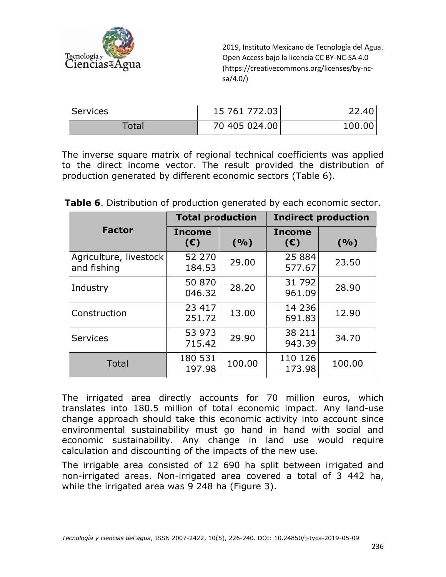

| Services | 15 761 772.03 | 22.40  |
|----------|---------------|--------|
| Total    | 70 405 024.00 | 100.00 |

The inverse square matrix of regional technical coefficients was applied to the direct income vector. The result provided the distribution of production generated by different economic sectors (Table 6).

|                                       | <b>Total production</b> |        | <b>Indirect production</b> |        |  |
|---------------------------------------|-------------------------|--------|----------------------------|--------|--|
| <b>Factor</b>                         | <b>Income</b><br>(E)    | (9/0)  | <b>Income</b><br>(E)       | (9/0)  |  |
| Agriculture, livestock<br>and fishing | 52 270<br>184.53        | 29.00  | 25 8 84<br>577.67          | 23.50  |  |
| Industry                              | 50 870<br>046.32        | 28.20  | 31 792<br>961.09           | 28.90  |  |
| Construction                          | 23 417<br>251.72        | 13.00  | 14 2 36<br>691.83          | 12.90  |  |
| <b>Services</b>                       | 53 973<br>715.42        | 29.90  | 38 211<br>943.39           | 34.70  |  |
| <b>Total</b>                          | 180 531<br>197.98       | 100.00 | 110 126<br>173.98          | 100.00 |  |

**Table 6**. Distribution of production generated by each economic sector.

The irrigated area directly accounts for 70 million euros, which translates into 180.5 million of total economic impact. Any land-use change approach should take this economic activity into account since environmental sustainability must go hand in hand with social and economic sustainability. Any change in land use would require calculation and discounting of the impacts of the new use.

The irrigable area consisted of 12 690 ha split between irrigated and non-irrigated areas. Non-irrigated area covered a total of 3 442 ha, while the irrigated area was 9 248 ha (Figure 3).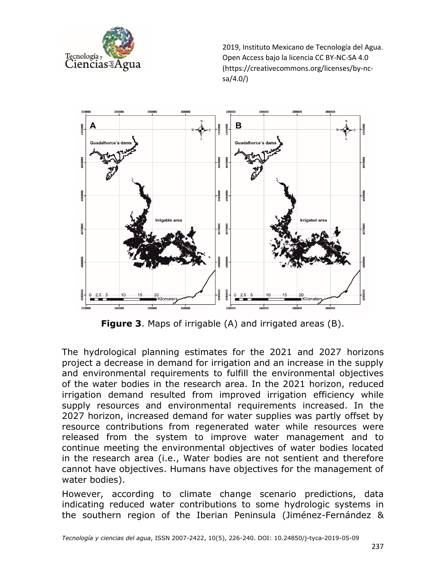



**Figure 3**. Maps of irrigable (A) and irrigated areas (B).

The hydrological planning estimates for the 2021 and 2027 horizons project a decrease in demand for irrigation and an increase in the supply and environmental requirements to fulfill the environmental objectives of the water bodies in the research area. In the 2021 horizon, reduced irrigation demand resulted from improved irrigation efficiency while supply resources and environmental requirements increased. In the 2027 horizon, increased demand for water supplies was partly offset by resource contributions from regenerated water while resources were released from the system to improve water management and to continue meeting the environmental objectives of water bodies located in the research area (i.e., Water bodies are not sentient and therefore cannot have objectives. Humans have objectives for the management of water bodies).

However, according to climate change scenario predictions, data indicating reduced water contributions to some hydrologic systems in the southern region of the Iberian Peninsula (Jiménez-Fernández &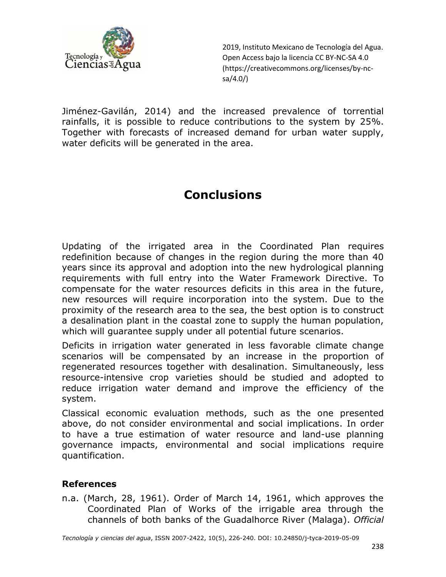

Jiménez-Gavilán, 2014) and the increased prevalence of torrential rainfalls, it is possible to reduce contributions to the system by 25%. Together with forecasts of increased demand for urban water supply, water deficits will be generated in the area.

# **Conclusions**

Updating of the irrigated area in the Coordinated Plan requires redefinition because of changes in the region during the more than 40 years since its approval and adoption into the new hydrological planning requirements with full entry into the Water Framework Directive. To compensate for the water resources deficits in this area in the future, new resources will require incorporation into the system. Due to the proximity of the research area to the sea, the best option is to construct a desalination plant in the coastal zone to supply the human population, which will guarantee supply under all potential future scenarios.

Deficits in irrigation water generated in less favorable climate change scenarios will be compensated by an increase in the proportion of regenerated resources together with desalination. Simultaneously, less resource-intensive crop varieties should be studied and adopted to reduce irrigation water demand and improve the efficiency of the system.

Classical economic evaluation methods, such as the one presented above, do not consider environmental and social implications. In order to have a true estimation of water resource and land-use planning governance impacts, environmental and social implications require quantification.

#### **References**

n.a. (March, 28, 1961). Order of March 14, 1961, which approves the Coordinated Plan of Works of the irrigable area through the channels of both banks of the Guadalhorce River (Malaga). *Official*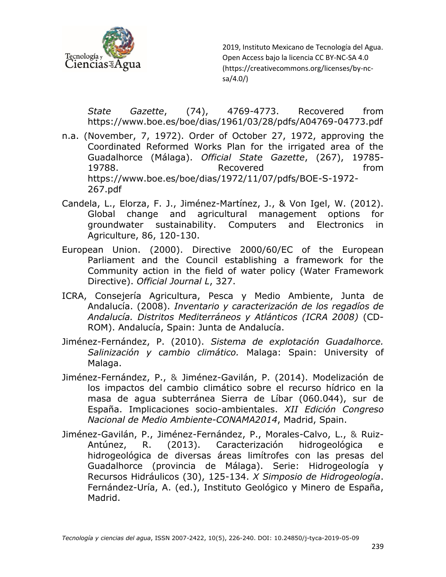

*State Gazette*, (74), 4769-4773. Recovered from https://www.boe.es/boe/dias/1961/03/28/pdfs/A04769-04773.pdf

- n.a. (November, 7, 1972). Order of October 27, 1972, approving the Coordinated Reformed Works Plan for the irrigated area of the Guadalhorce (Málaga). *Official State Gazette*, (267), 19785- 19788. Recovered from https://www.boe.es/boe/dias/1972/11/07/pdfs/BOE-S-1972- 267.pdf
- Candela, L., Elorza, F. J., Jiménez-Martínez, J., & Von Igel, W. (2012). Global change and agricultural management options for groundwater sustainability. Computers and Electronics in Agriculture, 86, 120-130.
- European Union. (2000). Directive 2000/60/EC of the European Parliament and the Council establishing a framework for the Community action in the field of water policy (Water Framework Directive). *Official Journal L*, 327.
- ICRA, Consejería Agricultura, Pesca y Medio Ambiente, Junta de Andalucía. (2008). *Inventario y caracterización de los regadíos de Andalucía. Distritos Mediterráneos y Atlánticos (ICRA 2008)* (CD-ROM). Andalucía, Spain: Junta de Andalucía.
- Jiménez-Fernández, P. (2010). *Sistema de explotación Guadalhorce. Salinización y cambio climático.* Malaga: Spain: University of Malaga.
- Jiménez-Fernández, P., & Jiménez-Gavilán, P. (2014). Modelización de los impactos del cambio climático sobre el recurso hídrico en la masa de agua subterránea Sierra de Líbar (060.044), sur de España. Implicaciones socio-ambientales. *XII Edición Congreso Nacional de Medio Ambiente-CONAMA2014*, Madrid, Spain.
- Jiménez-Gavilán, P., Jiménez-Fernández, P., Morales-Calvo, L., & Ruiz-Antúnez, R. (2013). Caracterización hidrogeológica e hidrogeológica de diversas áreas limítrofes con las presas del Guadalhorce (provincia de Málaga). Serie: Hidrogeología y Recursos Hidráulicos (30), 125-134. *X Simposio de Hidrogeología*. Fernández-Uría, A. (ed.), Instituto Geológico y Minero de España, Madrid.